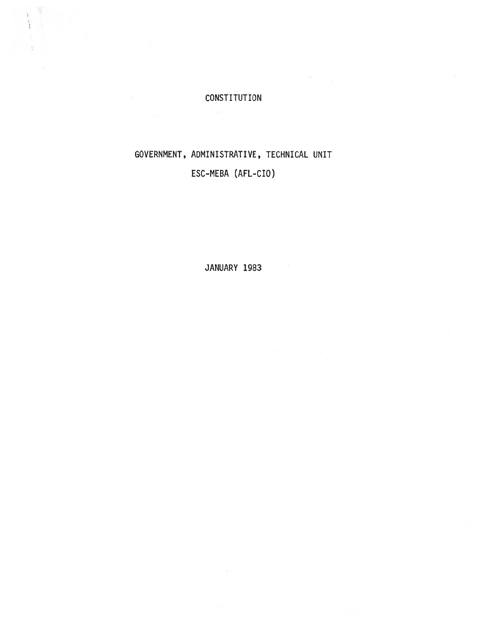# CONSTITUTION

# GOVERNMENT, ADMINISTRATIVE, TECHNICAL UNIT ESC-MEBA (AFL-CIO)

JANUARY 1983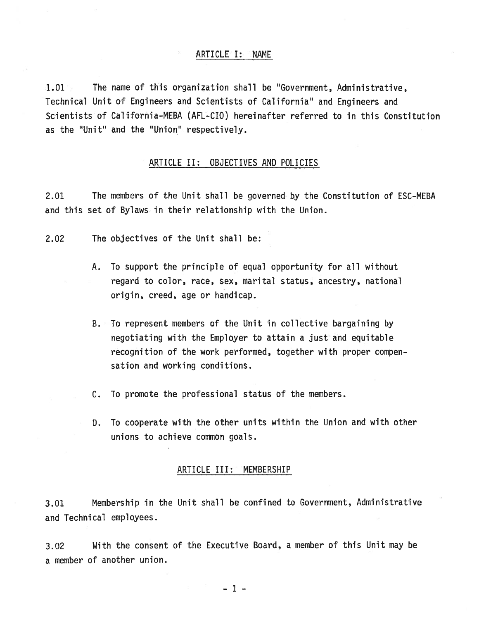1.01 The name of this organization shall be "Government, Administrative, Technical Unit of Engineers and Scientists of California" and Engineers and Scientists of California-MEBA (AFL-CIO) hereinafter referred to in this Constitution as the "Unit" and the "Union" respectively.

# ARTICLE II: OBJECTIVES AND POLICIES

2.01 The members of the Unit shall be governed by the Constitution of ESC-MEBA and this set of Bylaws in their relationship with the Union.

- 2.02 The objectives of the Unit shall be:
	- A. To suppor<sup>t</sup> the principle of equal opportunity for all without regard to color, race, sex, marital status, ancestry, national origin, creed, age or handicap.
	- B. To represen<sup>t</sup> members of the Unit in collective bargaining by negotiating with the Employer to attain <sup>a</sup> just and equitable recognition of the work performed, together with proper compen sation and working conditions.
	- C. To promote the professional status of the members.
	- D. To cooperate with the other units within the Union and with other unions to achieve common goals.

# ARTICLE III: MEMBERSHIP

3.01 Membership in the Unit shall be confined to Government, Administrative and Technical employees.

3.02 With the consent of the Executive Board, <sup>a</sup> member of this Unit may be <sup>a</sup> member of another union.

—1—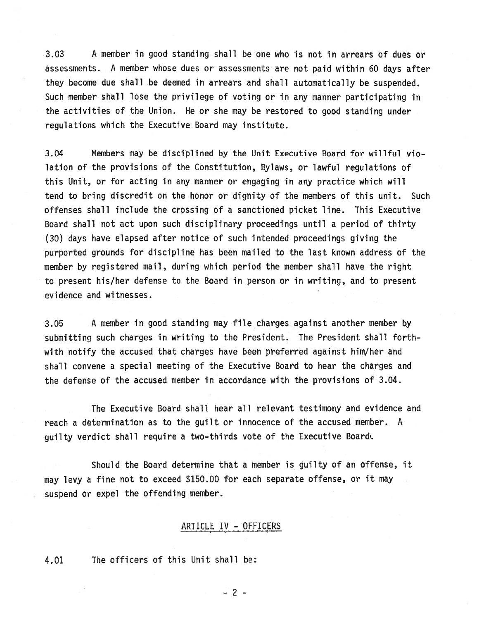3.03 A member in good standing shall be one who is not in arrears of dues or assessments. <sup>A</sup> member whose dues or assessments are not paid within <sup>60</sup> days after they become due shall be deemed in arrears and shall automatically be suspended. Such member shall lose the privilege of voting or in any manner participating in the activities of the Union. He or she may be restored to good standing under regulations which the Executive Board may institute.

3.04 Members may be disciplined by the Unit Executive Board for willful vio lation of the provisions of the Constitution, Bylaws, or lawful regulations of this Unit, or for acting in any manner or engaging in any practice which will tend to bring discredit on the honor or dignity of the members of this unit. Such offenses shall include the crossing of <sup>a</sup> sanctioned picket line. This Executive Board shall not act upon such disciplinary proceedings until a period of thirty (30) days have elapsed after notice of such intended proceedings giving the purported grounds for discipline has been mailed to the last known address of the member by registered mail, during which period the member shall have the right to presen<sup>t</sup> his/her defense to the Board in person or in writing, and to presen<sup>t</sup> evidence and witnesses.

3.05 A member in good standing may file charges against another member by submitting such charges in writing to the President. The President shall forth with notify the accused that charges have been preferred against him/her and shall convene <sup>a</sup> special meeting of the Executive Board to hear the charges and the defense of the accused member in accordance with the provisions of 3.04.

The Executive Board shall hear all relevant testimony and evidence and reach <sup>a</sup> determination as to the guilt or innocence of the accused member. A guilty verdict shall require <sup>a</sup> two-thirds vote of the Executive Board.

Should the Board determine that <sup>a</sup> member is guilty of an offense, it may levy <sup>a</sup> fine not to exceed \$150.00 for each separate offense, or it may suspend or expel the offending member.

# ARTICLE IV - OFFICERS

4.01 The officers of this Unit shall be:

—2—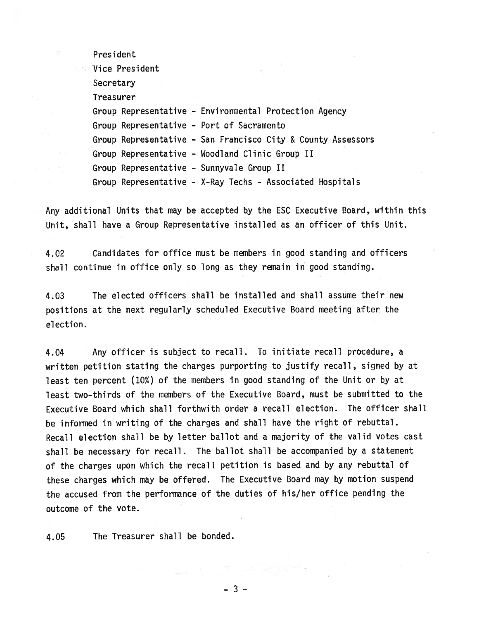President

Vice President **Secretary** Treasurer Group Representative - Environmental Protection Agency Group Representative - Port of Sacramento Group Representative - San Francisco City & County Assessors Group Representative - Woodland Clinic Group II Group Representative - Sunnyvale Group II Group Representative - X-Ray Techs - Associated Hospitals

Any additional Units that may be accepted by the ESC Executive Board, within this Unit, shall have <sup>a</sup> Group Representative installed as an officer of this Unit.

4.02 Candidates for office must be members in good standing and officers shall continue in office only so long as they remain in good standing.

4.03 The elected officers shall be installed and shall assume their new positions at the next regularly scheduled Executive Board meeting after the election.

4.04 Any officer is subject to recall. To initiate recall procedure, <sup>a</sup> written petition stating the charges purporting to justify recall, signed by at least ten percen<sup>t</sup> (10%) of the members in good standing of the Unit or by at least two-thirds of the members of the Executive Board, must be submitted to the Executive Board which shall forthwith order <sup>a</sup> recall election. The officer shall be informed in writing of the charges and shall have the right of rebuttal. Recall election shall be by letter ballot and <sup>a</sup> majority of the valid votes cast shall be necessary for recall. The ballot shall be accompanied by <sup>a</sup> statement of the charges upon which the recall petition is based and by any rebuttal of these charges which may be offered. The Executive Board may by motion suspen<sup>d</sup> the accused from the performance of the duties of his/her office pending the outcome of the vote.

4.05 The Treasurer shall be bonded.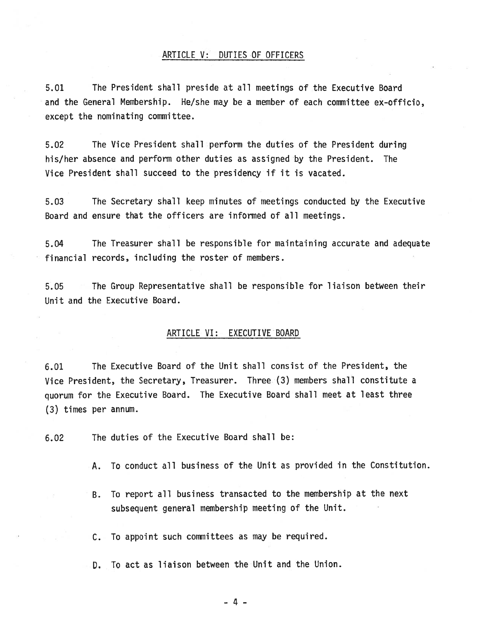#### ARTICLE V: DUTIES OF OFFICERS

5.01 The President shall preside at all meetings of the Executive Board and the General Membership. He/she may be <sup>a</sup> member of each committee ex-officio, excep<sup>t</sup> the nominating committee.

5.02 The Vice President shall perform the duties of the President during his/her absence and perform other duties as assigned by the President. The Vice President shall succeed to the presidency if it is vacated.

5.03 The Secretary shall keep minutes of meetings conducted by the Executive Board and ensure that the officers are informed of all meetings.

5.04 The Treasurer shall be responsible for maintaining accurate and adequate financial records, including the roster of members.

5.05 The Group Representative shall be responsible for liaison between their Unit and the Executive Board.

# ARTICLE VI: EXECUTIVE BOARD

6.01 The Executive Board of the Unit shall consist of the President, the Vice President, the Secretary, Treasurer. Three (3) members shall constitute <sup>a</sup> quorum for the Executive Board. The Executive Board shall meet at least three (3) times per annum.

6.02 The duties of the Executive Board shall be:

- A. To conduct all business of the Unit as provided in the Constitution.
- B. To repor<sup>t</sup> all business transacted to the membership at the next subsequent general membership meeting of the Unit.

C. To appoint such committees as may be required.

D. To act as liaison between the Unit and the Union.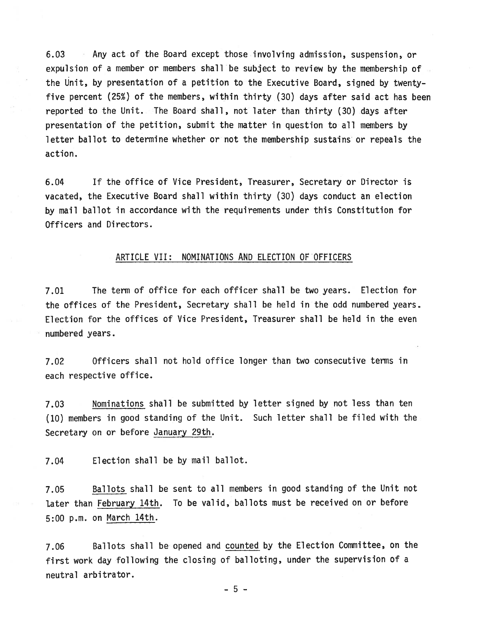6.03 Any act of the Board excep<sup>t</sup> those involving admission, suspension, or expulsion of a member or members shall be subject to review by the membership of the Unit, by presentation of <sup>a</sup> petition to the Executive Board, signed by twentyfive percen<sup>t</sup> (25%) of the members, within thirty (30) days after said act has been reported to the Unit. The Board shall, not later than thirty (30) days after presentation of the petition, submit the matter in question to all members by letter ballot to determine whether or not the membership sustains or repeals the action.

6.04 If the office of Vice President, Treasurer, Secretary or Director is vacated, the Executive Board shall within thirty (30) days conduct an election by mail ballot in accordance with the requirements under this Constitution for Officers and Directors.

#### ARTICLE VII: NOMINATIONS AND ELECTION OF OFFICERS

7.01 The term of office for each officer shall be two years. Election for the offices of the President, Secretary shall be held in the odd numbered years. Election for the offices of Vice President, Treasurer shall be held in the even numbered years.

7.02 Officers shall not hold office longer than two consecutive terms in each respective office.

7.03 Nominations shall be submitted by letter signed by not less than ten (10) members in good standing of the Unit. Such letter shall be filed with the Secretary on or before January 29th.

7.04 Election shall be by mail ballot.

7.05 Ballots shall be sent to all members in good standing of the Unit not later than February 14th. To be valid, ballots must be received on or before 5:00 pm. on March 14th.

7.06 Ballots shall be opene<sup>d</sup> and counted by the Election Committee, on the first work day following the closing of balloting, under the supervision of <sup>a</sup> neutral arbitrator.

—5—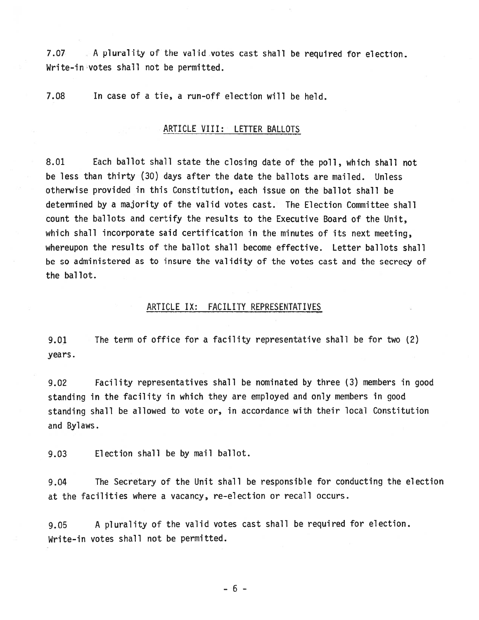7.07 A plurality of the valid votes cast shall be required for election. Write-in votes shall not be permitted.

7.08 In case of <sup>a</sup> tie, <sup>a</sup> run-off election will be held.

# ARTICLE VIII: LETTER BALLOTS

8.01 Each ballot shall state the closing date of the poll, which shall not be less than thirty (30) days after the date the ballots are mailed. Unless otherwise provided in this Constitution, each issue on the ballot shall be determined by <sup>a</sup> majority of the valid votes cast. The Election Committee shall count the ballots and certify the results to the Executive Board of the Unit, which shall incorporate said certification in the minutes of its next meeting, whereupon the results of the ballot shall become effective. Letter ballots shall be so administered as to insure the validity of the votes cast and the secrecy of the ballot.

#### ARTICLE IX: FACILITY REPRESENTATIVES

9.01 The term of office for <sup>a</sup> facility representative shall be for two (2) years.

9.02 Facility representatives shall be nominated by three (3) members in good standing in the facility in which they are employed and only members in goo<sup>d</sup> standing shall be allowed to vote or, in accordance with their local Constitution and Bylaws.

9.03 Election shall be by mail ballot.

9.04 The Secretary of the Unit shall be responsible for conducting the election at the facilities where <sup>a</sup> vacancy, re-election or recall occurs.

9.05 <sup>A</sup> <sup>p</sup>lurality of the valid votes cast shall be required for election. Write-in votes shall not be permitted.

-6-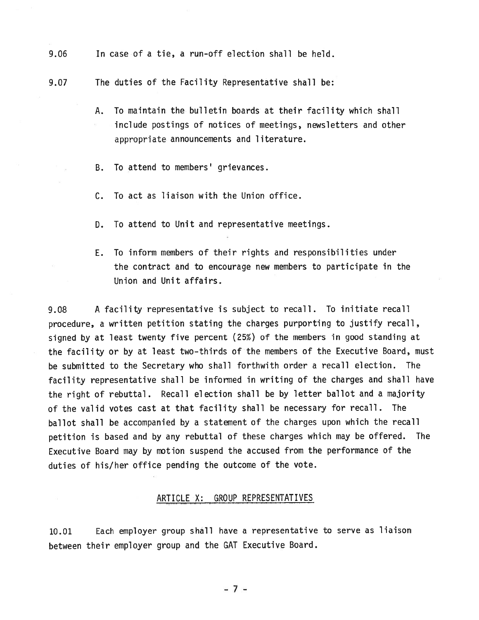- 9.06 In case of <sup>a</sup> tie, <sup>a</sup> run-off election shall be held.
- 9.07 The duties of the Facility Representative shall be:
	- A. To maintain the bulletin boards at their facility which shall include postings of notices of meetings, newsletters and other appropriate announcements and literature.
	- B. To attend to members' grievances.
	- C. To act as liaison with the Union office.
	- D. To attend to Unit and representative meetings.
	- E. To inform members of their rights and responsibilities under the contract and to encourage new members to participate in the Union and Unit affairs.

9.08 A facility representative is subject to recall. To initiate recall procedure, <sup>a</sup> written petition stating the charges purporting to justify recall, signed by at least twenty five percen<sup>t</sup> (25%) of the members in goo<sup>d</sup> standing at the facility or by at least two-thirds of the members of the Executive Board, must be submitted to the Secretary who shall forthwith order <sup>a</sup> recall election. The facility representative shall be informed in writing of the charges and shall have the right of rebuttal. Recall election shall be by letter ballot and <sup>a</sup> majority of the valid votes cast at that facility shall be necessary for recall. The ballot shall be accompanied by <sup>a</sup> statement of the charges upon which the recall petition is based and by any rebuttal of these charges which may be offered. The Executive Board may by motion suspend the accused from the performance of the duties of his/her office pending the outcome of the vote.

# ARTICLE X: GROUP REPRESENTATIVES

10.01 Each employer group shall have <sup>a</sup> representative to serve as liaison between their employer group and the GAT Executive Board.

-7—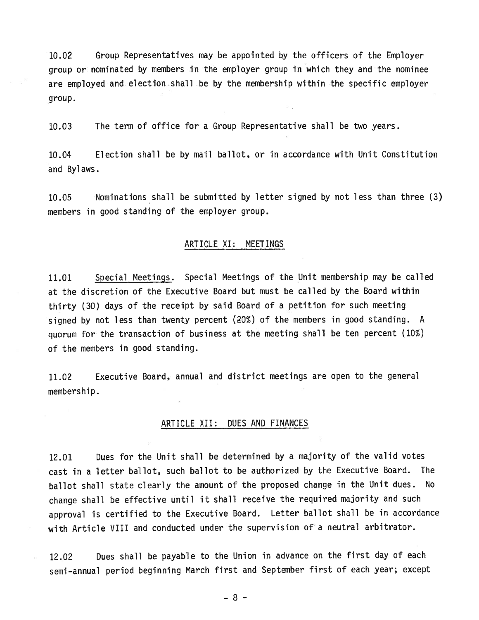10.02 Group Representatives may be appointed by the officers of the Employer group or nominated by members in the employer group in which they and the nominee are employed and election shall be by the membership within the specific employer group.

10.03 The term of office for <sup>a</sup> Group Representative shall be two years.

10.04 Election shall be by mail ballot, or in accordance with Unit Constitution and Bylaws.

10.05 Nominations shall be submitted by letter signed by not less than three (3) members in good standing of the employer group.

#### ARTICLE XI: MEETINGS

11.01 Special Meetings. Special Meetings of the Unit membership may be called at the discretion of the Executive Board but must be called by the Board within thirty (30) days of the receipt by said Board of <sup>a</sup> petition for such meeting signed by not less than twenty percent  $(20%)$  of the members in good standing. A quorum for the transaction of business at the meeting shall be ten percen<sup>t</sup> (10%) of the members in good standing.

11.02 Executive Board, annual and district meetings are open to the general membership.

# ARTICLE XII: DUES AND FINANCES

12.01 Dues for the Unit shall be determined by <sup>a</sup> majority of the valid votes cast in <sup>a</sup> letter ballot, such ballot to be authorized by the Executive Board. The ballot shall state clearly the amount of the propose<sup>d</sup> change in the Unit dues. No change shall be effective until it shall receive the required majority and such approva<sup>l</sup> is certified to the Executive Board. Letter ballot shall be in accordance with Article VIII and conducted under the supervision of <sup>a</sup> neutral arbitrator.

12.02 Dues shall be payable to the Union in advance on the first day of each semi-annual period beginning March first and September first of each year; excep<sup>t</sup>